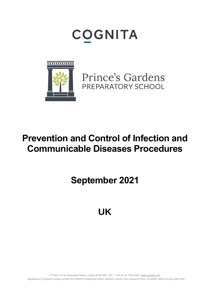# **COGNITA**



Prince's Gardens PREPARATORY SCHOOL

## **Prevention and Control of Infection and Communicable Diseases Procedures**

**September 2021**

**UK**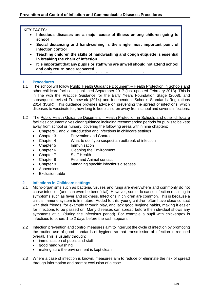#### **KEY FACTS:**

- **Infectious diseases are a major cause of illness among children going to school**
- **Social distancing and handwashing is the single most important point of infection control**
- **Teaching children the skills of handwashing and cough etiquette is essential in breaking the chain of infection**
- **It is important that any pupils or staff who are unwell should not attend school and only return once recovered**

• **This policy applies to all pupils, including those in the Early Years.**

## **1 Procedures**

- The school will follow Public Health Guidance Document Health Protection in Schools and other childcare facilities - published September 2017 (last updated February 2018). This is in line with the Practice Guidance for the Early Years Foundation Stage (2008), and subsequent revised Framework (2014) and Independent Schools Standards Regulations 2014 (ISSR). This guidance provides advice on preventing the spread of infections, which diseases to vaccinate for, how long to keep children away from school and several infections.
- 1.2 The Public Health Guidance Document Health Protection in Schools and other childcare facilities document gives clear guidance including recommended periods for pupils to be kept away from school or nursery, covering the following areas within nine chapters:
	- Chapters 1 and 2 Introduction and infections in childcare settings
	- Chapter 3 Prevention and Control
	- Chapter 4 What to do if you suspect an outbreak of infection
	- Chapter 5 Immunisation
	- Chapter 6 Cleaning the Environment
	- Chapter 7 Staff Health
	- Chapter 8 Pets and Animal contact
	- Chapter 9 Managing specific infectious diseases
	- Appendices
	- Exclusion table

#### **2 Infections in Childcare settings**

- 2.1 Micro-organisms such as bacteria, viruses and fungi are everywhere and commonly do not cause infection (and can even be beneficial). However, some do cause infection resulting in symptoms such as fever and sickness. Infections in children are common. This is because a child's immune system is immature. Added to this, young children often have close contact with their friends, for example through play, and lack good hygiene habits, making it easier for infections to be passed on. Many diseases can spread before the individual shows any symptoms at all (during the infectious period). For example a pupil with chickenpox is infectious to others 1 to 2 days before the rash appears.
- 2.2 Infection prevention and control measures aim to interrupt the cycle of infection by promoting the routine use of good standards of hygiene so that transmission of infection is reduced overall. This is usually through:
	- immunisation of pupils and staff
	- good hand washing
	- making sure the environment is kept clean
- 2.3 Where a case of infection is known, measures aim to reduce or eliminate the risk of spread through information and prompt exclusion of a case.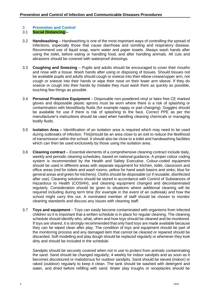#### **3 Prevention and Control**

#### 3.1 **Social Distancing –**

- 3.2 **Handwashing** Handwashing is one of the most important ways of controlling the spread of infections, especially those that cause diarrhoea and vomiting and respiratory disease. Recommend use of liquid soap, warm water and paper towels. Always wash hands after using the toilet, before eating or handling food, and after handling animals. All cuts and abrasions should be covered with waterproof dressings.
- 3.3 **Coughing and Sneezing** Pupils and adults should be encouraged to cover their mouths and nose with a tissue. Wash hands after using or disposing of tissues. Should tissues not be available pupils and adults should cough or sneeze into their elbow crease/upper arm, not cough or sneeze into their hands or wipe their nose on their lower arm sleeve. If they do sneeze or cough into their hands by mistake they must wash them as quickly as possible, touching few things as possible.
- 3.4 **Personal Protective Equipment** Disposable non-powdered vinyl or latex free CE marked gloves and disposable plastic aprons must be worn where there is a risk of splashing or contamination with blood/body fluids (for example nappy or pad changing). Goggles should be available for use if there is risk of splashing to the face. Correct PPE as per the manufacturer's instructions should be used when handling cleaning chemicals or managing bodily fluids.
- 3.5 **Isolation Area –** Identification of an isolation area is required which may need to be used during outbreaks of infection. This should be an area close to an exit to reduce the likelihood of transmission within the school. It should also be close to a toilet and handwashing facilities which can then be used exclusively by those using the isolation area.
- 3.6 **Cleaning contract**  Essential elements of a comprehensive cleaning contract include daily, weekly and periodic cleaning schedules, based on national guidance. A proper colour coding system is recommended by the Health and Safety Executive. Colour-coded equipment should be used in different areas with separate equipment for kitchen, toilet, classroom and office areas (red for toilets and wash rooms; yellow for hand wash basins and sinks; blue for general areas and green for kitchens). Cloths should be disposable (or if reusable, disinfected after use). Cleaning solutions should be stored in accordance with Control of Substances of Hazardous to Health (COSHH), and cleaning equipment changed and decontaminated regularly. Consideration should be given to situations where additional cleaning will be required including during term time (for example in the event of an outbreak) and how the school might carry this out. A nominated member of staff should be chosen to monitor cleaning standards and discuss any issues with cleaning staff.
- 3.7 **Toys and equipment** Toys can easily become contaminated with organisms from infected children so it is important that a written schedule is in place for regular cleaning. The cleaning schedule should identify who, what, when and how toys should be cleaned and be monitored. If toys are shared, it is strongly recommended that only hard toys are made available because they can be wiped clean after play. The condition of toys and equipment should be part of the monitoring process and any damaged item that cannot be cleaned or repaired should be discarded. Soft modelling and play dough should be replaced regularly or whenever they look dirty and should be included in the schedule.

Sandpits should be securely covered when not in use to protect from animals contaminating the sand. Sand should be changed regularly; 4 weekly for indoor sandpits and as soon as it becomes discoloured or malodorous for outdoor sandpits. Sand should be sieved (indoor) or raked (outdoor) regularly to keep it clean. The tank should be washed with detergent and water, and dried before refilling with sand. Water play troughs or receptacles should be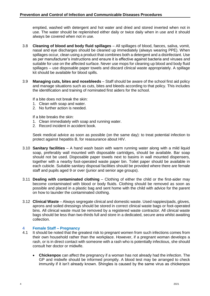emptied, washed with detergent and hot water and dried and stored inverted when not in use. The water should be replenished either daily or twice daily when in use and it should always be covered when not in use.

- 3.8 **Cleaning of blood and body fluid spillages** All spillages of blood, faeces, saliva, vomit, nasal and eye discharges should be cleaned up immediately (always wearing PPE). When spillages occur, clean using a product that combines both a detergent and a disinfectant. Use as per manufacturer's instructions and ensure it is effective against bacteria and viruses and suitable for use on the affected surface. Never use mops for cleaning up blood and body fluid spillages – use disposable paper towels and discard clinical waste appropriately. A spillage kit should be available for blood spills.
- 3.9 **Managing cuts, bites and nosebleeds** Staff should be aware of the school first aid policy and manage situations such as cuts, bites and bleeds according to that policy. This includes the identification and training of nominated first aiders for the school.

If a bite does not break the skin:

- 1. Clean with soap and water.
- 2. No further action is needed.

If a bite breaks the skin:

- 1. Clean immediately with soap and running water.
- 2. Record incident in accident book.

Seek medical advice as soon as possible (on the same day): to treat potential infection to protect against hepatitis B, for reassurance about HIV.

- 3.10 **Sanitary facilities** A hand wash basin with warm running water along with a mild liquid soap, preferably wall mounted with disposable cartridges, should be available. Bar soap should not be used. Disposable paper towels next to basins in wall mounted dispensers, together with a nearby foot-operated waste paper bin. Toilet paper should be available in each cubicle. Suitable sanitary disposal facilities should be provided where there are female staff and pupils aged 9 or over (junior and senior age groups).
- 3.11 **Dealing with contaminated clothing** Clothing of either the child or the first-aider may become contaminated with blood or body fluids. Clothing should be removed as soon as possible and placed in a plastic bag and sent home with the child with advice for the parent on how to launder the contaminated clothing.
- 3.12 **Clinical Waste** Always segregate clinical and domestic waste. Used nappies/pads, gloves, aprons and soiled dressings should be stored in correct clinical waste bags or foot-operated bins. All clinical waste must be removed by a registered waste contractor. All clinical waste bags should be less than two-thirds full and store in a dedicated, secure area whilst awaiting collection.

#### **4 Female Staff – Pregnancy**

- 4.1 It should be noted that the greatest risk to pregnant women from such infections comes from their own household rather than the workplace. However, if a pregnant woman develops a rash, or is in direct contact with someone with a rash who is potentially infectious, she should consult her doctor or midwife.
	- **Chickenpox** can affect the pregnancy if a woman has not already had the infection. The GP and midwife should be informed promptly. A blood test may be arranged to check immunity if it isn't already known. Shingles is caused by the same virus as chickenpox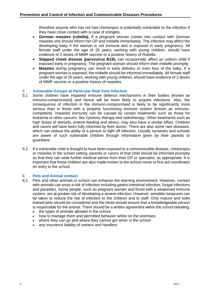therefore anyone who has not had chickenpox is potentially vulnerable to the infection if they have close contact with a case of shingles.

- **German measles (rubella),** If a pregnant woman comes into contact with German measles she should inform her GP and midwife immediately. The infection may affect the developing baby if the woman is not immune and is exposed in early pregnancy. All female staff under the age of 25 years, working with young children, should have evidence of 2 doses of MMR vaccine or a positive history of Rubella.
- **Slapped cheek disease (parvovirus B19),** can occasionally affect an unborn child if exposed early in pregnancy. The pregnant woman should inform their midwife promptly.
- **Measles** during pregnancy can result in early delivery or even loss of the baby. If a pregnant woman is exposed, the midwife should be informed immediately. All female staff under the age of 25 years, working with young children, should have evidence of 2 doses of MMR vaccine or a positive history of measles.

## **5 Vulnerable Groups at Particular Risk from Infection**

- 5.1 Some children have impaired immune defence mechanisms in their bodies (known as immuno-compromised) and hence will be more likely to acquire infections. Also, the consequence of infection in the immuno-compromised is likely to be significantly more serious than in those with a properly functioning immune system (known as immunocompetent). Impaired immunity can be caused by certain treatments such as those for leukemia or other cancers, like cytotoxic therapy and radiotherapy. Other treatments such as high doses of steroids, enteral feeding and others, may also have a similar effect. Children and carers will have been fully informed by their doctor. There are also some rare diseases, which can reduce the ability of a person to fight off infection. Usually nurseries and schools are aware of such vulnerable children through information given by their parents or guardians.
- 5.2 If a vulnerable child is thought to have been exposed to a communicable disease, chickenpox or measles in the school setting, parents or carers of that child should be informed promptly so that they can seek further medical advice from their GP or specialist, as appropriate. It is important that these children are also made known to the school nurse or first aid coordinator on entry to the school.

#### **6 Pets and Animal contact**

- 6.1 Pets and other animals in school can enhance the learning environment. However, contact with animals can pose a risk of infection including gastro-intestinal infection, fungal infections and parasites. Some people, such as pregnant women and those with a weakened immune system, are at greater risk of developing a severe infection. However, sensible measures can be taken to reduce the risk of infection to the children and to staff. Only mature and toilet trained pets should be considered and the Head should ensure that a knowledgeable person is responsible for the animal. There should be a written agreement within the school detailing:
	- the types of animals allowed in the school
	- how to manage them and permitted behavior whilst on the premises
	- where they can go and where they cannot got when in the school
	- any insurance liability of owners and handlers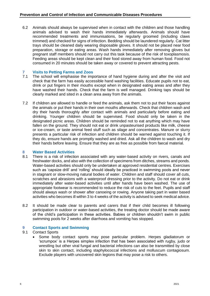6.2 Animals should always be supervised when in contact with the children and those handling animals advised to wash their hands immediately afterwards. Animals should have recommended treatments and immunisations, be regularly groomed (including claws trimmed) and checked for signs of infection. Bedding should be laundered regularly. Cat litter trays should be cleaned daily wearing disposable gloves. It should not be placed near food preparation, storage or eating areas. Wash hands immediately after removing gloves but pregnant staff members should not carry out this task because of the risk of toxoplasmosis. Feeding areas should be kept clean and their food stored away from human food. Food not consumed in 20 minutes should be taken away or covered to prevent attracting pests.

### **7 Visits to Petting Farms and Zoos**

- The school will emphasise the importance of hand hygiene during and after the visit and check that the farm has easily accessible hand washing facilities. Educate pupils not to eat, drink or put fingers in their mouths except when in designated eating areas and after they have washed their hands. Check that the farm is well managed. Drinking taps should be clearly marked and sited in a clean area away from the animals.
- 7.2 If children are allowed to handle or feed the animals, ask them not to put their faces against the animals or put their hands in their own mouths afterwards. Check that children wash and dry their hands thoroughly after contact with animals and particularly before eating and drinking. Younger children should be supervised. Food should only be taken in the designated picnic areas. Children should be reminded not to eat anything which may have fallen on the ground. They should not eat or drink unpasteurised products like milk, cheese or ice-cream, or taste animal feed stuff such as silage and concentrates. Manure or slurry presents a particular risk of infection and children should be warned against touching it. If they do, ensure hands are promptly washed and dried. Ask all the children to wash and dry their hands before leaving. Ensure that they are as free as possible from faecal material.

#### **8 Water Based Activities**

- 8.1 There is a risk of infection associated with any water-based activity on rivers, canals and freshwater docks, and also with the collection of specimens from ditches, streams and ponds. Water-based activities should only be undertaken at approved residential centres. Exercises such as 'capsize drill' and 'rolling' should ideally be practiced in swimming pools and never in stagnant or slow-moving natural bodies of water. Children and staff should cover all cuts, scratches and abrasions with a waterproof dressing prior to the activity. Do not eat or drink immediately after water-based activities until after hands have been washed. The use of appropriate footwear is recommended to reduce the risk of cuts to the feet. Pupils and staff should always wash or shower after canoeing or rowing. Anyone taking part in water based activities who becomes ill within 3 to 4 weeks of the activity is advised to seek medical advice.
- 8.2 It should be made clear to parents and carers that if their child becomes ill following participation in outdoor or water-based activities, the treating doctor should be made aware of the child's participation in these activities. Babies or children shouldn't swim in public swimming pools for 2 weeks after diarrhoea and vomiting has stopped.

#### **9 Contact Sports and Swimming**

#### 9.1 Contact Sports

• Some body contact sports may pose particular problem. Herpes gladiatorum or 'scrumpox' is a Herpes simplex infection that has been associated with rugby, judo or wrestling but other viral fungal and bacterial infections can also be transmitted by close skin to skin contact, including staphylococcal infections and molluscum contagiosum. Exclude players with uncovered skin legions that may pose a risk to others.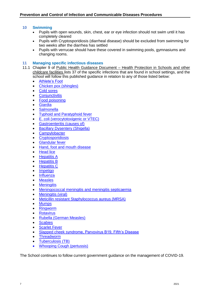#### **10 Swimming**

- Pupils with open wounds, skin, chest, ear or eye infection should not swim until it has completely cleared
- Pupils with Cryptosporidiosis (diarrheal disease) should be excluded from swimming for two weeks after the diarrhea has settled
- Pupils with verrucae should have these covered in swimming pools, gymnasiums and changing rooms.

#### **11 Managing specific infectious diseases**

- 11.1 Chapter 9 of Public Health Guidance Document Health Protection in Schools and other childcare facilities lists 37 of the specific infections that are found in school settings, and the school will follow this published quidance in relation to any of those listed below:
	- [Athlete's Foot](https://www.gov.uk/government/publications/health-protection-in-schools-and-other-childcare-facilities/chapter-9-managing-specific-infectious-diseases#athletes-foot)
	- [Chicken pox \(shingles\)](https://www.gov.uk/government/publications/health-protection-in-schools-and-other-childcare-facilities/chapter-9-managing-specific-infectious-diseases#chicken-pox-shingles)
	- [Cold sores](https://www.gov.uk/government/publications/health-protection-in-schools-and-other-childcare-facilities/chapter-9-managing-specific-infectious-diseases#cold-sores)
	- **[Conjunctivitis](https://www.gov.uk/government/publications/health-protection-in-schools-and-other-childcare-facilities/chapter-9-managing-specific-infectious-diseases#conjunctivitis)**
	- [Food poisoning](https://www.gov.uk/government/publications/health-protection-in-schools-and-other-childcare-facilities/chapter-9-managing-specific-infectious-diseases#food-poisoning)
	- **[Giardia](https://www.gov.uk/government/publications/health-protection-in-schools-and-other-childcare-facilities/chapter-9-managing-specific-infectious-diseases#giardia)**
	- **[Salmonella](https://www.gov.uk/government/publications/health-protection-in-schools-and-other-childcare-facilities/chapter-9-managing-specific-infectious-diseases#salmonella)**
	- [Typhoid and Paratyphoid fever](https://www.gov.uk/government/publications/health-protection-in-schools-and-other-childcare-facilities/chapter-9-managing-specific-infectious-diseases#typhoid-and-paratyphoid-fever)
	- [E. coli \(verocytotoxigenic or VTEC\)](https://www.gov.uk/government/publications/health-protection-in-schools-and-other-childcare-facilities/chapter-9-managing-specific-infectious-diseases#e-coli-verocytotoxigenic-or-vtec)
	- [Gastroenteritis \(causes of\)](https://www.gov.uk/government/publications/health-protection-in-schools-and-other-childcare-facilities/chapter-9-managing-specific-infectious-diseases#gastroenteritis-causes-of)
	- **[Bacillary Dysentery \(Shigella\)](https://www.gov.uk/government/publications/health-protection-in-schools-and-other-childcare-facilities/chapter-9-managing-specific-infectious-diseases#bacillary-dysentery-shigella)**
	- **[Campylobacter](https://www.gov.uk/government/publications/health-protection-in-schools-and-other-childcare-facilities/chapter-9-managing-specific-infectious-diseases#campylobacter)**
	- **[Cryptosporidiosis](https://www.gov.uk/government/publications/health-protection-in-schools-and-other-childcare-facilities/chapter-9-managing-specific-infectious-diseases#cryptosporidiosis)**
	- **[Glandular fever](https://www.gov.uk/government/publications/health-protection-in-schools-and-other-childcare-facilities/chapter-9-managing-specific-infectious-diseases#glandular-fever)**
	- [Hand, foot and mouth disease](https://www.gov.uk/government/publications/health-protection-in-schools-and-other-childcare-facilities/chapter-9-managing-specific-infectious-diseases#hand-foot-and-mouth-disease)
	- **[Head lice](https://www.gov.uk/government/publications/health-protection-in-schools-and-other-childcare-facilities/chapter-9-managing-specific-infectious-diseases#head-lice)**
	- **[Hepatitis A](https://www.gov.uk/government/publications/health-protection-in-schools-and-other-childcare-facilities/chapter-9-managing-specific-infectious-diseases#hepatitis-a)**
	- [Hepatitis B](https://www.gov.uk/government/publications/health-protection-in-schools-and-other-childcare-facilities/chapter-9-managing-specific-infectious-diseases#hepatitis-b)
	- **[Hepatitis C](https://www.gov.uk/government/publications/health-protection-in-schools-and-other-childcare-facilities/chapter-9-managing-specific-infectious-diseases#hepatitis-c)**
	- **[Impetigo](https://www.gov.uk/government/publications/health-protection-in-schools-and-other-childcare-facilities/chapter-9-managing-specific-infectious-diseases#impetigo)**
	- **[Influenza](https://www.gov.uk/government/publications/health-protection-in-schools-and-other-childcare-facilities/chapter-9-managing-specific-infectious-diseases#influenza)**
	- **[Measles](https://www.gov.uk/government/publications/health-protection-in-schools-and-other-childcare-facilities/chapter-9-managing-specific-infectious-diseases#measles)**
	- **[Meningitis](https://www.gov.uk/government/publications/health-protection-in-schools-and-other-childcare-facilities/chapter-9-managing-specific-infectious-diseases#meningitis)**
	- [Meningococcal meningitis and meningitis septicaemia](https://www.gov.uk/government/publications/health-protection-in-schools-and-other-childcare-facilities/chapter-9-managing-specific-infectious-diseases#meningococcal-meningitis-and-meningitis-septicaemia)
	- **[Meningitis \(viral\)](https://www.gov.uk/government/publications/health-protection-in-schools-and-other-childcare-facilities/chapter-9-managing-specific-infectious-diseases#meningitis-viral)**
	- [Meticillin resistant Staphylococcus aureus \(MRSA\)](https://www.gov.uk/government/publications/health-protection-in-schools-and-other-childcare-facilities/chapter-9-managing-specific-infectious-diseases#meticillin-resistant-staphylococcus-aureus-mrsa)
	- [Mumps](https://www.gov.uk/government/publications/health-protection-in-schools-and-other-childcare-facilities/chapter-9-managing-specific-infectious-diseases#mumps)
	- [Ringworm](https://www.gov.uk/government/publications/health-protection-in-schools-and-other-childcare-facilities/chapter-9-managing-specific-infectious-diseases#ringworm)
	- **[Rotavirus](https://www.gov.uk/government/publications/health-protection-in-schools-and-other-childcare-facilities/chapter-9-managing-specific-infectious-diseases#rotavirus)**
	- [Rubella \(German Measles\)](https://www.gov.uk/government/publications/health-protection-in-schools-and-other-childcare-facilities/chapter-9-managing-specific-infectious-diseases#rubella-german-measles)
	- **[Scabies](https://www.gov.uk/government/publications/health-protection-in-schools-and-other-childcare-facilities/chapter-9-managing-specific-infectious-diseases#scabies)**
	- **[Scarlet Fever](https://www.gov.uk/government/publications/health-protection-in-schools-and-other-childcare-facilities/chapter-9-managing-specific-infectious-diseases#scarlet-fever)**
	- [Slapped cheek syndrome, Parvovirus B19, Fifth's Disease](https://www.gov.uk/government/publications/health-protection-in-schools-and-other-childcare-facilities/chapter-9-managing-specific-infectious-diseases#slapped-cheek-syndrome-parvovirus-b19-fifths-disease)
	- **[Threadworm](https://www.gov.uk/government/publications/health-protection-in-schools-and-other-childcare-facilities/chapter-9-managing-specific-infectious-diseases#threadworm)**
	- [Tuberculosis \(TB\)](https://www.gov.uk/government/publications/health-protection-in-schools-and-other-childcare-facilities/chapter-9-managing-specific-infectious-diseases#tuberculosis-tb)
	- [Whooping Cough \(pertussis\)](https://www.gov.uk/government/publications/health-protection-in-schools-and-other-childcare-facilities/chapter-9-managing-specific-infectious-diseases#whooping-cough-pertussis)

The School continues to follow current government guidance on the management of COVID-19.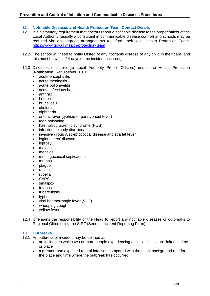#### **12 Notifiable Diseases and Health Protection Team Contact Details**

- 12.1 It is a statutory requirement that doctors report a notifiable disease to the proper officer of the Local Authority (usually a consultant in communicable disease control) and schools may be required via local agreed arrangements to inform their local Health Protection Team. <https://www.gov.uk/health-protection-team>
- 12.2 The school will need to notify Ofsted of any notifiable disease of any child in their care, and this must be within 14 days of the incident occurring.
- 12.3 Diseases notifiable (to Local Authority Proper Officers) under the Health Protection (Notification) Regulations 2010:
	- acute encephalitis
	- acute meningitis
	- acute poliomyelitis
	- acute infectious hepatitis
	- anthrax
	- botulism
	- **brucellosis**
	- cholera
	- diphtheria
	- enteric fever (typhoid or paratyphoid fever)
	- food poisoning
	- haemolytic uraemic syndrome (HUS)
	- infectious bloody diarrhoea
	- invasive group A streptococcal disease and scarlet fever
	- legionnaires' disease
	- **leprosy**
	- malaria
	- measles
	- meningococcal septicaemia
	- mumps
	- plague
	- **rabies**
	- rubella
	- **SARS**
	- smallpox
	- tetanus
	- tuberculosis
	- typhus
	- viral haemorrhagic fever (VHF)
	- whooping cough
	- vellow fever
- 12.4 It remains the responsibility of the Head to report any notifiable diseases or outbreaks to Regional Office using the SIRF (Serious Incident Reporting Form).

#### **13 Outbreaks**

- 13.1 An outbreak or incident may be defined as:
	- an incident in which two or more people experiencing a similar illness are linked in time or place
	- a greater than expected rate of infection compared with the usual background rate for the place and time where the outbreak has occurred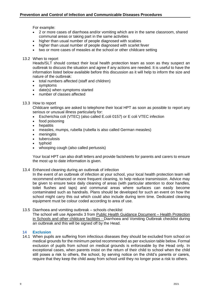For example:

- 2 or more cases of diarrhoea and/or vomiting which are in the same classroom, shared communal areas or taking part in the same activities
- higher than usual number of people diagnosed with scabies
- higher than usual number of people diagnosed with scarlet fever
- two or more cases of measles at the school or other childcare setting

#### 13.2 When to report

Heads/SLT should contact their local health protection team as soon as they suspect an outbreak to discuss the situation and agree if any actions are needed. It is useful to have the information listed below available before this discussion as it will help to inform the size and nature of the outbreak:

- total numbers affected (staff and children)
- symptoms
- date(s) when symptoms started
- number of classes affected
- 13.3 How to report

Childcare settings are asked to telephone their local HPT as soon as possible to report any serious or unusual illness particularly for:

- Escherichia coli (VTEC) (also called E.coli 0157) or E coli VTEC infection
- food poisoning
- **hepatitis**
- measles, mumps, rubella (rubella is also called German measles)
- meningitis
- tuberculosis
- typhoid
- whooping cough (also called pertussis)

Your local HPT can also draft letters and provide factsheets for parents and carers to ensure the most up to date information is given.

13.4 Enhanced cleaning during an outbreak of infection

In the event of an outbreak of infection at your school, your local health protection team will recommend enhanced or more frequent cleaning, to help reduce transmission. Advice may be given to ensure twice daily cleaning of areas (with particular attention to door handles, toilet flushes and taps) and communal areas where surfaces can easily become contaminated such as handrails. Plans should be developed for such an event on how the school might carry this out which could also include during term time. Dedicated cleaning equipment must be colour coded according to area of use.

13.5 Diarrhoea and vomiting outbreak – schools checklist The school will use Appendix 3 from Public Health Guidance Document – Health Protection in Schools and other childcare facilities - Diarrhoea and Vomiting Outbreak checklist during an outbreak and this will be signed off by the Head.

#### **14 Exclusion**

14.1 When pupils are suffering from infectious diseases they should be excluded from school on medical grounds for the minimum period recommended as per exclusion table below. Formal exclusion of pupils from school on medical grounds is enforceable by the Head only. In exceptional cases, when parents insist on the return of their child to school when the child still poses a risk to others, the school, by serving notice on the child's parents or carers, require that they keep the child away from school until they no longer pose a risk to others.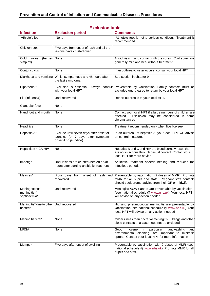|                                                      | <b>Exclusion table</b>                                                                                |                                                                                                                                                                        |
|------------------------------------------------------|-------------------------------------------------------------------------------------------------------|------------------------------------------------------------------------------------------------------------------------------------------------------------------------|
| <b>Infection</b>                                     | <b>Exclusion period</b>                                                                               | <b>Comments</b>                                                                                                                                                        |
| Athlete's foot                                       | None                                                                                                  | Athlete's foot is not a serious condition. Treatment is<br>recommended.                                                                                                |
| Chicken pox                                          | Five days from onset of rash and all the<br>lesions have crusted over                                 |                                                                                                                                                                        |
| Cold<br>(herpes None<br>sores<br>simplex)            |                                                                                                       | Avoid kissing and contact with the sores. Cold sores are<br>generally mild and heal without treatment                                                                  |
| Conjunctivitis                                       | None                                                                                                  | If an outbreak/cluster occurs, consult your local HPT                                                                                                                  |
| Diarrhoea and vomiting                               | Whilst symptomatic and 48 hours after<br>the last symptoms.                                           | See section in chapter 9                                                                                                                                               |
| Diphtheria *                                         | Exclusion is essential. Always consult<br>with your local HPT                                         | Preventable by vaccination. Family contacts must be<br>excluded until cleared to return by your local HPT                                                              |
| Flu (influenza)                                      | Until recovered                                                                                       | Report outbreaks to your local HPT.                                                                                                                                    |
| Glandular fever                                      | None                                                                                                  |                                                                                                                                                                        |
| Hand foot and mouth                                  | None                                                                                                  | Contact your local HPT if a large numbers of children are<br>affected.<br>Exclusion may be considered in some<br>circumstances                                         |
| <b>Head lice</b>                                     | None                                                                                                  | Treatment recommended only when live lice seen                                                                                                                         |
| Hepatitis A*                                         | Exclude until seven days after onset of<br>jaundice (or 7 days after symptom<br>onset if no jaundice) | In an outbreak of hepatitis A, your local HPT will advise<br>on control measures                                                                                       |
| Hepatitis B*, C*, HIV                                | None                                                                                                  | Hepatitis B and C and HIV are blood borne viruses that<br>are not infectious through casual contact. Contact your<br>local HPT for more advice                         |
| Impetigo                                             | Until lesions are crusted /healed or 48<br>hours after starting antibiotic treatment                  | Antibiotic treatment speeds healing and reduces the<br>infectious period.                                                                                              |
| Measles*                                             | Four days from onset of rash and<br>recovered                                                         | Preventable by vaccination (2 doses of MMR). Promote<br>MMR for all pupils and staff. Pregnant staff contacts<br>should seek prompt advice from their GP or midwife    |
| Meningococcal<br>meningitis*/<br>septicaemia*        | Until recovered                                                                                       | Meningitis ACWY and B are preventable by vaccination<br>(see national schedule @ www.nhs.uk). Your local HPT<br>will advise on any action needed                       |
| Meningitis* due to other Until recovered<br>bacteria |                                                                                                       | Hib and pneumococcal meningitis are preventable by<br>vaccination (see national schedule @ www.nhs.uk) Your<br>local HPT will advise on any action needed              |
| Meningitis viral*                                    | None                                                                                                  | Milder illness than bacterial meningitis. Siblings and other<br>close contacts of a case need not be excluded.                                                         |
| <b>MRSA</b>                                          | None                                                                                                  | hygiene,<br>particular<br>handwashing<br>Good<br>in<br>and<br>environmental cleaning, are important to minimise<br>spread. Contact your local HPT for more information |
| Mumps*                                               | Five days after onset of swelling                                                                     | Preventable by vaccination with 2 doses of MMR (see<br>national schedule @ www.nhs.uk). Promote MMR for all<br>pupils and staff.                                       |

#### **Exclusion table**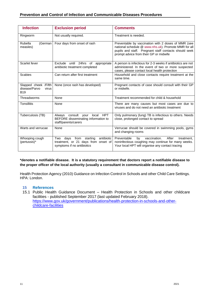#### **Prevention and Control of Infection and Communicable Diseases Procedures**

| <b>Infection</b>                                             | <b>Exclusion period</b>                                                                                            | <b>Comments</b>                                                                                                                                                                                                |
|--------------------------------------------------------------|--------------------------------------------------------------------------------------------------------------------|----------------------------------------------------------------------------------------------------------------------------------------------------------------------------------------------------------------|
| Ringworm                                                     | Not usually required.                                                                                              | Treatment is needed.                                                                                                                                                                                           |
| Rubella<br>(German<br>measles)                               | Four days from onset of rash                                                                                       | Preventable by vaccination with 2 doses of MMR (see<br>national schedule @ www.nhs.uk). Promote MMR for all<br>pupils and staff. Pregnant staff contacts should seek<br>prompt advice from their GP or midwife |
| Scarlet fever                                                | Exclude until 24hrs of appropriate<br>antibiotic treatment completed                                               | A person is infectious for 2-3 weeks if antibiotics are not<br>administered. In the event of two or more suspected<br>cases, please contact local health protection                                            |
| <b>Scabies</b>                                               | Can return after first treatment                                                                                   | Household and close contacts require treatment at the<br>same time.                                                                                                                                            |
| Slapped cheek /Fifth<br>disease/Parvo<br>virus<br><b>B19</b> | None (once rash has developed)                                                                                     | Pregnant contacts of case should consult with their GP<br>or midwife.                                                                                                                                          |
| Threadworms                                                  | None                                                                                                               | Treatment recommended for child & household                                                                                                                                                                    |
| Tonsillitis                                                  | None                                                                                                               | There are many causes but most cases are due to<br>viruses and do not need an antibiotic treatment                                                                                                             |
| Tuberculosis (TB)                                            | Always consult your<br>local HPT<br>BEFORE disseminating information to<br>staff/parents/carers                    | Only pulmonary (lung) TB is infectious to others. Needs<br>close, prolonged contact to spread                                                                                                                  |
| Warts and verrucae                                           | None                                                                                                               | Verrucae should be covered in swimming pools, gyms<br>and changing rooms                                                                                                                                       |
| Whooping cough<br>(pertussis)*                               | antibiotic<br>from<br>starting<br>Two<br>days<br>treatment, or 21 days from onset of<br>symptoms if no antibiotics | Preventable<br>vaccination.<br>After<br>by<br>treatment.<br>noninfectious coughing may continue for many weeks.<br>Your local HPT will organise any contact tracing                                            |

#### **\*denotes a notifiable disease. It is a statutory requirement that doctors report a notifiable disease to the proper officer of the local authority (usually a consultant in communicable disease control).**

Health Protection Agency (2010) Guidance on Infection Control in Schools and other Child Care Settings. HPA: London.

#### **15 References**

15.1 Public Health Guidance Document – Health Protection in Schools and other childcare facilities - published September 2017 (last updated February 2018). [https://www.gov.uk/government/publications/health-protection-in-schools-and-other](https://www.gov.uk/government/publications/health-protection-in-schools-and-other-childcare-facilities)[childcare-facilities](https://www.gov.uk/government/publications/health-protection-in-schools-and-other-childcare-facilities)